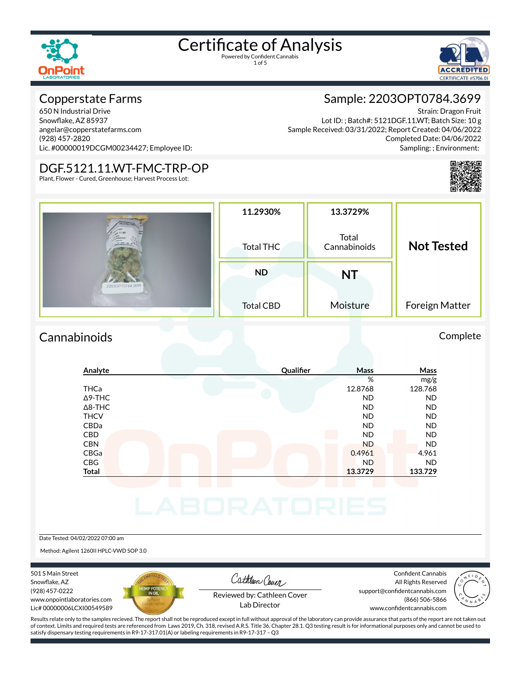1 of 5



#### Copperstate Farms

650 N Industrial Drive Snowflake, AZ 85937 angelar@copperstatefarms.com (928) 457-2820 Lic. #00000019DCGM00234427; Employee ID:

#### DGF.5121.11.WT-FMC-TRP-OP

Plant, Flower - Cured, Greenhouse; Harvest Process Lot:

### Sample: 2203OPT0784.3699

Strain: Dragon Fruit Lot ID: ; Batch#: 5121DGF.11.WT; Batch Size: 10 g Sample Received: 03/31/2022; Report Created: 04/06/2022 Completed Date: 04/06/2022 Sampling: ; Environment:



| 00 ml Eu 1 11    | 11.2930%         | 13.3729%              |                   |
|------------------|------------------|-----------------------|-------------------|
|                  | Total THC        | Total<br>Cannabinoids | <b>Not Tested</b> |
| 2203OPT0784.3699 | <b>ND</b>        | NT                    |                   |
|                  | <b>Total CBD</b> | Moisture              | Foreign Matter    |

#### Cannabinoids Complete

#### **Analyte Quali×er Mass Mass** % mg/g THCa 12.8768 128.768 Δ9-THC ND ND Δ8-THC ND ND THCV ND ND CBDa ND ND CBD ND ND CBN ND ND CBGa 0.4961 4.961 CBG ND ND **Total 13.3729 133.729**

#### Date Tested: 04/02/2022 07:00 am

Method: Agilent 1260II HPLC-VWD SOP 3.0

501 S Main Street Snowflake, AZ (928) 457-0222 www.onpointlaboratories.com Lic# 00000006LCXI00549589



Cathleen Cover

Confident Cannabis All Rights Reserved support@confidentcannabis.com (866) 506-5866



Reviewed by: Cathleen Cover Lab Director

www.confidentcannabis.com

Results relate only to the samples recieved. The report shall not be reproduced except in full without approval of the laboratory can provide assurance that parts of the report are not taken out of context. Limits and required tests are referenced from Laws 2019, Ch. 318, revised A.R.S. Title 36, Chapter 28.1. Q3 testing result is for informational purposes only and cannot be used to satisfy dispensary testing requirements in R9-17-317.01(A) or labeling requirements in R9-17-317 – Q3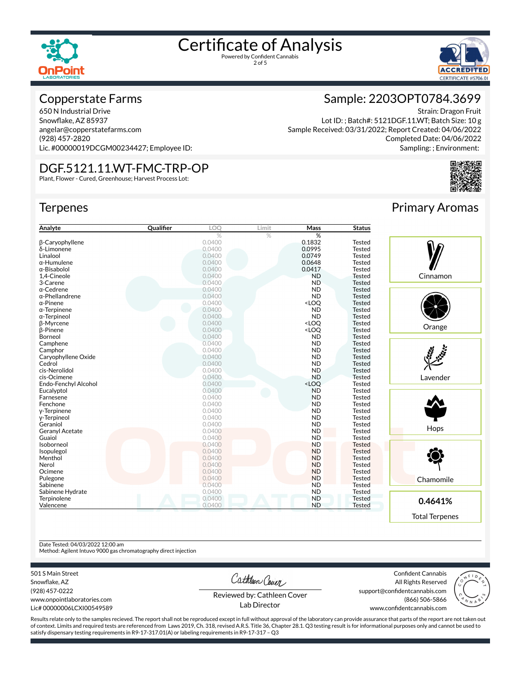



#### Copperstate Farms

650 N Industrial Drive Snowflake, AZ 85937 angelar@copperstatefarms.com (928) 457-2820 Lic. #00000019DCGM00234427; Employee ID:

#### DGF.5121.11.WT-FMC-TRP-OP

Plant, Flower - Cured, Greenhouse; Harvest Process Lot:

#### **Terpenes**



Strain: Dragon Fruit Lot ID: ; Batch#: 5121DGF.11.WT; Batch Size: 10 g Sample Received: 03/31/2022; Report Created: 04/06/2022 Completed Date: 04/06/2022 Sampling: ; Environment:



Primary Aromas

| Analyte                | Qualifier | LOQ    | Limit | Mass                                                     | <b>Status</b> |           |
|------------------------|-----------|--------|-------|----------------------------------------------------------|---------------|-----------|
|                        |           | $\%$   | $\%$  | %                                                        |               |           |
| <b>B-Caryophyllene</b> |           | 0.0400 |       | 0.1832                                                   | <b>Tested</b> |           |
| δ-Limonene             |           | 0.0400 |       | 0.0995                                                   | <b>Tested</b> |           |
| Linalool               |           | 0.0400 |       | 0.0749                                                   | <b>Tested</b> |           |
| $\alpha$ -Humulene     |           | 0.0400 |       | 0.0648                                                   | <b>Tested</b> |           |
| α-Bisabolol            |           | 0.0400 |       | 0.0417                                                   | <b>Tested</b> |           |
| 1,4-Cineole            |           | 0.0400 |       | <b>ND</b>                                                | Tested        | Cinnamon  |
| 3-Carene               |           | 0.0400 |       | <b>ND</b>                                                | <b>Tested</b> |           |
| $\alpha$ -Cedrene      |           | 0.0400 |       | <b>ND</b>                                                | <b>Tested</b> |           |
| $\alpha$ -Phellandrene |           | 0.0400 |       | <b>ND</b>                                                | <b>Tested</b> |           |
| $\alpha$ -Pinene       |           | 0.0400 |       | <loq< td=""><td><b>Tested</b></td><td></td></loq<>       | <b>Tested</b> |           |
| $\alpha$ -Terpinene    |           | 0.0400 |       | <b>ND</b>                                                | <b>Tested</b> |           |
| $\alpha$ -Terpineol    |           | 0.0400 |       | <b>ND</b>                                                | <b>Tested</b> |           |
| <b>B-Myrcene</b>       |           | 0.0400 |       | <loq< td=""><td><b>Tested</b></td><td></td></loq<>       | <b>Tested</b> |           |
| <b>B-Pinene</b>        |           | 0.0400 |       | <loq< td=""><td><b>Tested</b></td><td>Orange</td></loq<> | <b>Tested</b> | Orange    |
| Borneol                |           | 0.0400 |       | <b>ND</b>                                                | <b>Tested</b> |           |
| Camphene               |           | 0.0400 |       | <b>ND</b>                                                | <b>Tested</b> |           |
| Camphor                |           | 0.0400 |       | <b>ND</b>                                                | Tested        |           |
| Caryophyllene Oxide    |           | 0.0400 |       | <b>ND</b>                                                | <b>Tested</b> |           |
| Cedrol                 |           | 0.0400 |       | <b>ND</b>                                                | <b>Tested</b> |           |
| cis-Nerolidol          |           | 0.0400 |       | <b>ND</b>                                                | <b>Tested</b> |           |
| cis-Ocimene            |           | 0.0400 |       | <b>ND</b>                                                | <b>Tested</b> | Lavender  |
| Endo-Fenchyl Alcohol   |           | 0.0400 |       | <loq< td=""><td><b>Tested</b></td><td></td></loq<>       | <b>Tested</b> |           |
| Eucalyptol             |           | 0.0400 |       | <b>ND</b>                                                | <b>Tested</b> |           |
| Farnesene              |           | 0.0400 |       | <b>ND</b>                                                | <b>Tested</b> |           |
| Fenchone               |           | 0.0400 |       | <b>ND</b>                                                | <b>Tested</b> |           |
| y-Terpinene            |           | 0.0400 |       | <b>ND</b>                                                | <b>Tested</b> |           |
| y-Terpineol            |           | 0.0400 |       | <b>ND</b>                                                | <b>Tested</b> |           |
| Geraniol               |           | 0.0400 |       | <b>ND</b>                                                | <b>Tested</b> |           |
| Geranyl Acetate        |           | 0.0400 |       | <b>ND</b>                                                | <b>Tested</b> | Hops      |
| Guaiol                 |           | 0.0400 |       | <b>ND</b>                                                | <b>Tested</b> |           |
| Isoborneol             |           | 0.0400 |       | <b>ND</b>                                                | <b>Tested</b> |           |
| Isopulegol             |           | 0.0400 |       | <b>ND</b>                                                | <b>Tested</b> |           |
| Menthol                |           | 0.0400 |       | <b>ND</b>                                                | <b>Tested</b> |           |
| Nerol                  |           | 0.0400 |       | <b>ND</b>                                                | <b>Tested</b> |           |
| Ocimene                |           | 0.0400 |       | <b>ND</b>                                                | <b>Tested</b> |           |
| Pulegone               |           | 0.0400 |       | <b>ND</b>                                                | <b>Tested</b> | Chamomile |
| Sabinene               |           | 0.0400 |       | <b>ND</b>                                                | <b>Tested</b> |           |
| Sabinene Hydrate       |           | 0.0400 |       | <b>ND</b>                                                | <b>Tested</b> |           |
| Terpinolene            |           | 0.0400 |       | <b>ND</b>                                                | <b>Tested</b> |           |
| Valencene              |           | 0.0400 |       | <b>ND</b>                                                | <b>Tested</b> | 0.4641%   |

Date Tested: 04/03/2022 12:00 am

Method: Agilent Intuvo 9000 gas chromatography direct injection

501 S Main Street

Snowflake, AZ (928) 457-0222 www.onpointlaboratories.com Lic# 00000006LCXI00549589 Cathleen Cover

Confident Cannabis All Rights Reserved support@confidentcannabis.com (866) 506-5866

Total Terpenes



Reviewed by: Cathleen Cover Lab Director

www.confidentcannabis.com

Results relate only to the samples recieved. The report shall not be reproduced except in full without approval of the laboratory can provide assurance that parts of the report are not taken out of context. Limits and required tests are referenced from Laws 2019, Ch. 318, revised A.R.S. Title 36, Chapter 28.1. Q3 testing result is for informational purposes only and cannot be used to satisfy dispensary testing requirements in R9-17-317.01(A) or labeling requirements in R9-17-317 – Q3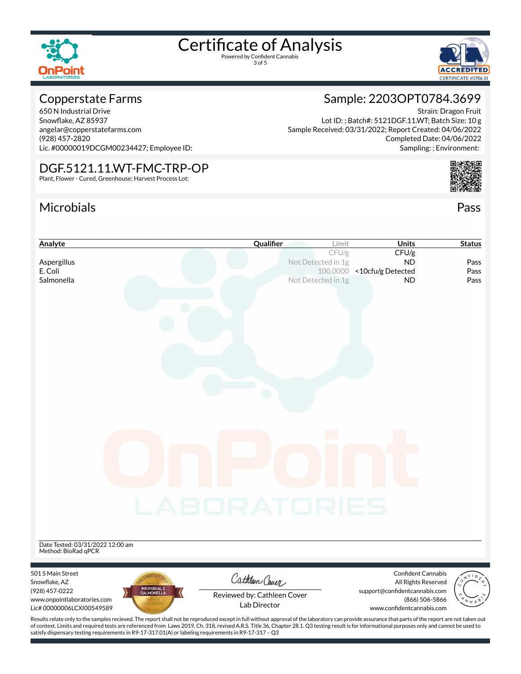

3 of 5



#### Copperstate Farms

650 N Industrial Drive Snowflake, AZ 85937 angelar@copperstatefarms.com (928) 457-2820 Lic. #00000019DCGM00234427; Employee ID:

#### DGF.5121.11.WT-FMC-TRP-OP

Plant, Flower - Cured, Greenhouse; Harvest Process Lot:

### Microbials Pass



Strain: Dragon Fruit

Completed Date: 04/06/2022

Sample: 2203OPT0784.3699

Lot ID: ; Batch#: 5121DGF.11.WT; Batch Size: 10 g

Sample Received: 03/31/2022; Report Created: 04/06/2022



of context. Limits and required tests are referenced from Laws 2019, Ch. 318, revised A.R.S. Title 36, Chapter 28.1. Q3 testing result is for informational purposes only and cannot be used to satisfy dispensary testing requirements in R9-17-317.01(A) or labeling requirements in R9-17-317 – Q3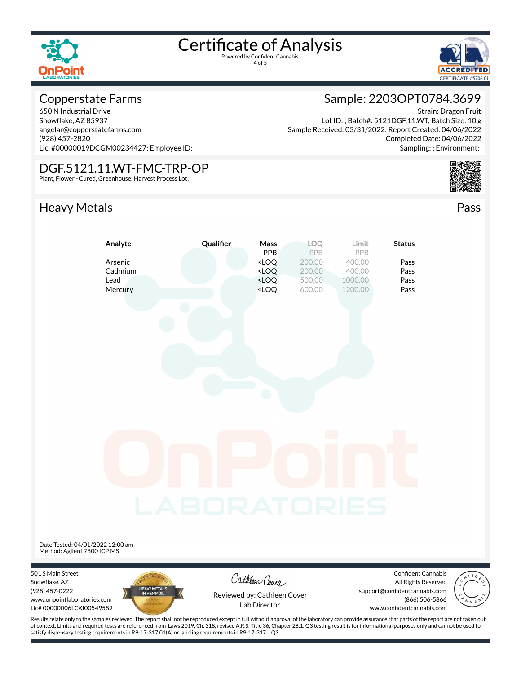

4 of 5



#### Copperstate Farms

650 N Industrial Drive Snowflake, AZ 85937 angelar@copperstatefarms.com (928) 457-2820 Lic. #00000019DCGM00234427; Employee ID:

#### DGF.5121.11.WT-FMC-TRP-OP

Plant, Flower - Cured, Greenhouse; Harvest Process Lot:

### Heavy Metals **Pass**

### Sample: 2203OPT0784.3699

Strain: Dragon Fruit Lot ID: ; Batch#: 5121DGF.11.WT; Batch Size: 10 g Sample Received: 03/31/2022; Report Created: 04/06/2022 Completed Date: 04/06/2022 Sampling: ; Environment:





Results relate only to the samples recieved. The report shall not be reproduced except in full without approval of the laboratory can provide assurance that parts of the report are not taken out of context. Limits and required tests are referenced from Laws 2019, Ch. 318, revised A.R.S. Title 36, Chapter 28.1. Q3 testing result is for informational purposes only and cannot be used to satisfy dispensary testing requirements in R9-17-317.01(A) or labeling requirements in R9-17-317 – Q3